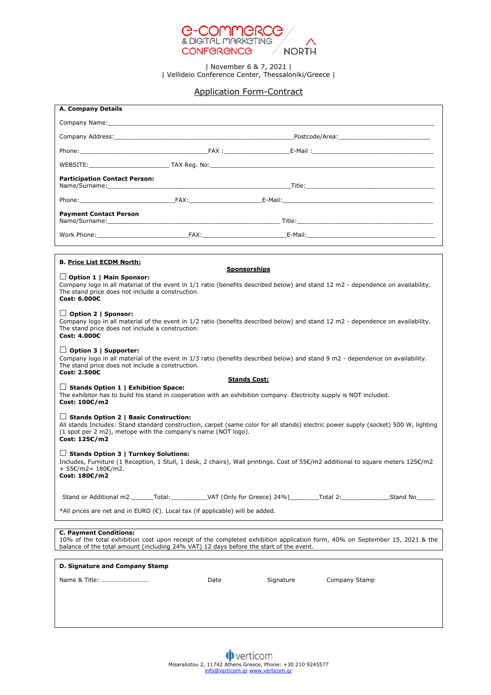

| November 6 & 7, 2021 | | Vellideio Conference Center, Thessaloniki/Greece |

## Application Form-Contract

| A. Company Details                                                                                                                                                                                                                                                    |      |                     |                                                                             |  |
|-----------------------------------------------------------------------------------------------------------------------------------------------------------------------------------------------------------------------------------------------------------------------|------|---------------------|-----------------------------------------------------------------------------|--|
|                                                                                                                                                                                                                                                                       |      |                     |                                                                             |  |
|                                                                                                                                                                                                                                                                       |      |                     |                                                                             |  |
|                                                                                                                                                                                                                                                                       |      |                     |                                                                             |  |
|                                                                                                                                                                                                                                                                       |      |                     |                                                                             |  |
| Participation Contact Person:                                                                                                                                                                                                                                         |      |                     |                                                                             |  |
|                                                                                                                                                                                                                                                                       |      |                     |                                                                             |  |
| <b>Payment Contact Person</b>                                                                                                                                                                                                                                         |      |                     |                                                                             |  |
|                                                                                                                                                                                                                                                                       |      |                     |                                                                             |  |
|                                                                                                                                                                                                                                                                       |      |                     |                                                                             |  |
| <b>B. Price List ECDM North:</b>                                                                                                                                                                                                                                      |      |                     |                                                                             |  |
| $\Box$ Option 1   Main Sponsor:                                                                                                                                                                                                                                       |      | <b>Sponsorships</b> |                                                                             |  |
| Company logo in all material of the event in 1/1 ratio (benefits described below) and stand 12 m2 - dependence on availability.<br>The stand price does not include a construction.<br>Cost: 6.000€                                                                   |      |                     |                                                                             |  |
| $\Box$ Option 2   Sponsor:<br>Company logo in all material of the event in 1/2 ratio (benefits described below) and stand 12 m2 - dependence on availability.<br>The stand price does not include a construction.<br>Cost: 4.000€                                     |      |                     |                                                                             |  |
| $\Box$ Option 3   Supporter:<br>Company logo in all material of the event in 1/3 ratio (benefits described below) and stand 9 m2 - dependence on availability.<br>The stand price does not include a construction.<br>Cost: 2.500€                                    |      |                     |                                                                             |  |
| <b>Stands Cost:</b>                                                                                                                                                                                                                                                   |      |                     |                                                                             |  |
| $\Box$ Stands Option 1   Exhibition Space:<br>The exhibitor has to build his stand in cooperation with an exhibition company. Electricity supply is NOT included.<br>Cost: 100€/m2                                                                                    |      |                     |                                                                             |  |
| $\Box$ Stands Option 2   Basic Construction:<br>All stands Includes: Stand standard construction, carpet (same color for all stands) electric power supply (socket) 500 W, lighting<br>(1 spot per 2 m2), metope with the company's name (NOT logo).<br>Cost: 125€/m2 |      |                     |                                                                             |  |
| $\Box$ Stands Option 3   Turnkey Solutions:<br>Includes, Furniture (1 Reception, 1 Stull, 1 desk, 2 chairs), Wall printings. Cost of 55€/m2 additional to square meters 125€/m2<br>+ 55€/m2= 180€/m2.<br>Cost: 180€/m2                                                |      |                     |                                                                             |  |
|                                                                                                                                                                                                                                                                       |      |                     | Stand or Additional m2. Total: VAT (Only for Greece) 24%) Total 2: Stand No |  |
| *All prices are net and in EURO (€). Local tax (if applicable) will be added.                                                                                                                                                                                         |      |                     |                                                                             |  |
|                                                                                                                                                                                                                                                                       |      |                     |                                                                             |  |
| <b>C. Payment Conditions:</b><br>10% of the total exhibition cost upon receipt of the completed exhibition application form, 40% on September 15, 2021 & the<br>balance of the total amount (including 24% VAT) 12 days before the start of the event.                |      |                     |                                                                             |  |
| D. Signature and Company Stamp                                                                                                                                                                                                                                        |      |                     |                                                                             |  |
|                                                                                                                                                                                                                                                                       | Date | Signature           | Company Stamp                                                               |  |
|                                                                                                                                                                                                                                                                       |      |                     |                                                                             |  |
|                                                                                                                                                                                                                                                                       |      |                     |                                                                             |  |
|                                                                                                                                                                                                                                                                       |      |                     |                                                                             |  |
|                                                                                                                                                                                                                                                                       |      |                     |                                                                             |  |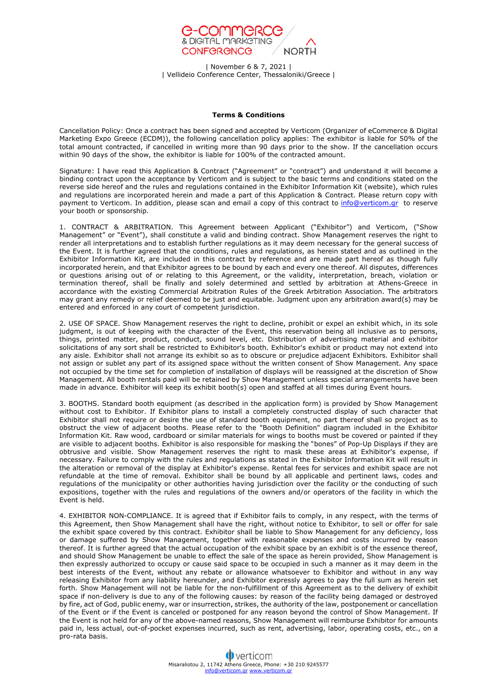

| November 6 & 7, 2021 | | Vellideio Conference Center, Thessaloniki/Greece |

## **Terms & Conditions**

Cancellation Policy: Once a contract has been signed and accepted by Verticom (Organizer of eCommerce & Digital Marketing Expo Greece (ECDM)), the following cancellation policy applies: The exhibitor is liable for 50% of the total amount contracted, if cancelled in writing more than 90 days prior to the show. If the cancellation occurs within 90 days of the show, the exhibitor is liable for 100% of the contracted amount.

Signature: I have read this Application & Contract ("Agreement" or "contract") and understand it will become a binding contract upon the acceptance by Verticom and is subject to the basic terms and conditions stated on the reverse side hereof and the rules and regulations contained in the Exhibitor Information Kit (website), which rules and regulations are incorporated herein and made a part of this Application & Contract. Please return copy with payment to Verticom. In addition, please scan and email a copy of this contract to info@verticom.gr to reserve your booth or sponsorship.

1. CONTRACT & ARBITRATION. This Agreement between Applicant ("Exhibitor") and Verticom, ("Show Management" or "Event"), shall constitute a valid and binding contract. Show Management reserves the right to render all interpretations and to establish further regulations as it may deem necessary for the general success of the Event. It is further agreed that the conditions, rules and regulations, as herein stated and as outlined in the Exhibitor Information Kit, are included in this contract by reference and are made part hereof as though fully incorporated herein, and that Exhibitor agrees to be bound by each and every one thereof. All disputes, differences or questions arising out of or relating to this Agreement, or the validity, interpretation, breach, violation or termination thereof, shall be finally and solely determined and settled by arbitration at Athens-Greece in accordance with the existing Commercial Arbitration Rules of the Greek Arbitration Association. The arbitrators may grant any remedy or relief deemed to be just and equitable. Judgment upon any arbitration award(s) may be entered and enforced in any court of competent jurisdiction.

2. USE OF SPACE. Show Management reserves the right to decline, prohibit or expel an exhibit which, in its sole judgment, is out of keeping with the character of the Event, this reservation being all inclusive as to persons, things, printed matter, product, conduct, sound level, etc. Distribution of advertising material and exhibitor solicitations of any sort shall be restricted to Exhibitor's booth. Exhibitor's exhibit or product may not extend into any aisle. Exhibitor shall not arrange its exhibit so as to obscure or prejudice adjacent Exhibitors. Exhibitor shall not assign or sublet any part of its assigned space without the written consent of Show Management. Any space not occupied by the time set for completion of installation of displays will be reassigned at the discretion of Show Management. All booth rentals paid will be retained by Show Management unless special arrangements have been made in advance. Exhibitor will keep its exhibit booth(s) open and staffed at all times during Event hours.

3. BOOTHS. Standard booth equipment (as described in the application form) is provided by Show Management without cost to Exhibitor. If Exhibitor plans to install a completely constructed display of such character that Exhibitor shall not require or desire the use of standard booth equipment, no part thereof shall so project as to obstruct the view of adjacent booths. Please refer to the "Booth Definition" diagram included in the Exhibitor Information Kit. Raw wood, cardboard or similar materials for wings to booths must be covered or painted if they are visible to adjacent booths. Exhibitor is also responsible for masking the "bones" of Pop-Up Displays if they are obtrusive and visible. Show Management reserves the right to mask these areas at Exhibitor's expense, if necessary. Failure to comply with the rules and regulations as stated in the Exhibitor Information Kit will result in the alteration or removal of the display at Exhibitor's expense. Rental fees for services and exhibit space are not refundable at the time of removal. Exhibitor shall be bound by all applicable and pertinent laws, codes and regulations of the municipality or other authorities having jurisdiction over the facility or the conducting of such expositions, together with the rules and regulations of the owners and/or operators of the facility in which the Event is held.

4. EXHIBITOR NON-COMPLIANCE. It is agreed that if Exhibitor fails to comply, in any respect, with the terms of this Agreement, then Show Management shall have the right, without notice to Exhibitor, to sell or offer for sale the exhibit space covered by this contract. Exhibitor shall be liable to Show Management for any deficiency, loss or damage suffered by Show Management, together with reasonable expenses and costs incurred by reason thereof. It is further agreed that the actual occupation of the exhibit space by an exhibit is of the essence thereof, and should Show Management be unable to effect the sale of the space as herein provided, Show Management is then expressly authorized to occupy or cause said space to be occupied in such a manner as it may deem in the best interests of the Event, without any rebate or allowance whatsoever to Exhibitor and without in any way releasing Exhibitor from any liability hereunder, and Exhibitor expressly agrees to pay the full sum as herein set forth. Show Management will not be liable for the non-fulfillment of this Agreement as to the delivery of exhibit space if non-delivery is due to any of the following causes: by reason of the facility being damaged or destroyed by fire, act of God, public enemy, war or insurrection, strikes, the authority of the law, postponement or cancellation of the Event or if the Event is canceled or postponed for any reason beyond the control of Show Management. If the Event is not held for any of the above-named reasons, Show Management will reimburse Exhibitor for amounts paid in, less actual, out-of-pocket expenses incurred, such as rent, advertising, labor, operating costs, etc., on a pro-rata basis.